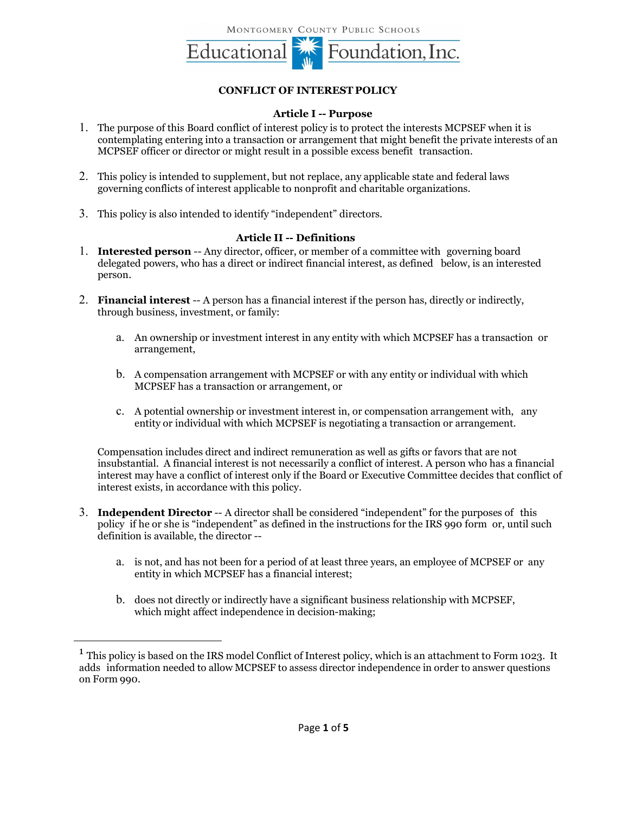

## **CONFLICT OF INTEREST POLICY**

## **Article I -- Purpose**

- 1. The purpose of this Board conflict of interest policy is to protect the interests MCPSEF when it is contemplating entering into a transaction or arrangement that might benefit the private interests of an MCPSEF officer or director or might result in a possible excess benefit transaction.
- 2. This policy is intended to supplement, but not replace, any applicable state and federal laws governing conflicts of interest applicable to nonprofit and charitable organizations.
- 3. This policy is also intended to identify "independent" directors.

### **Article II -- Definitions**

- 1. **Interested person** -- Any director, officer, or member of a committee with governing board delegated powers, who has a direct or indirect financial interest, as defined below, is an interested person.
- 2. **Financial interest** -- A person has a financial interest if the person has, directly or indirectly, through business, investment, or family:
	- a. An ownership or investment interest in any entity with which MCPSEF has a transaction or arrangement,
	- b. A compensation arrangement with MCPSEF or with any entity or individual with which MCPSEF has a transaction or arrangement, or
	- c. A potential ownership or investment interest in, or compensation arrangement with, any entity or individual with which MCPSEF is negotiating a transaction or arrangement.

Compensation includes direct and indirect remuneration as well as gifts or favors that are not insubstantial. A financial interest is not necessarily a conflict of interest. A person who has a financial interest may have a conflict of interest only if the Board or Executive Committee decides that conflict of interest exists, in accordance with this policy.

- 3. **Independent Director** -- A director shall be considered "independent" for the purposes of this policy if he or she is "independent" as defined in the instructions for the IRS 990 form or, until such definition is available, the director -
	- a. is not, and has not been for a period of at least three years, an employee of MCPSEF or any entity in which MCPSEF has a financial interest;
	- b. does not directly or indirectly have a significant business relationship with MCPSEF, which might affect independence in decision-making;

<sup>&</sup>lt;sup>1</sup> This policy is based on the IRS model Conflict of Interest policy, which is an attachment to Form 1023. It adds information needed to allow MCPSEF to assess director independence in order to answer questions on Form 990.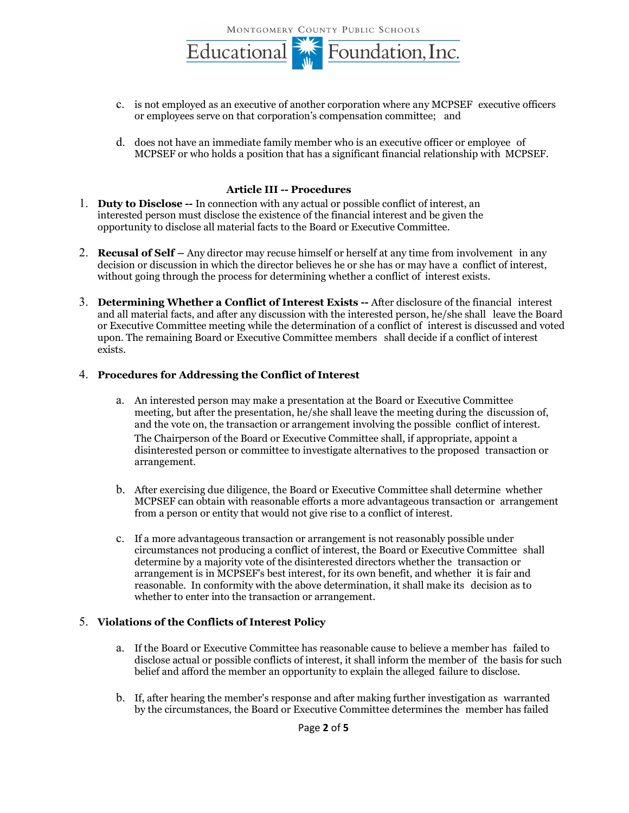MONTGOMERY COUNTY PUBLIC SCHOOLS



- c. is not employed as an executive of another corporation where any MCPSEF executive officers or employees serve on that corporation's compensation committee; and
- d. does not have an immediate family member who is an executive officer or employee of MCPSEF or who holds a position that has a significant financial relationship with MCPSEF.

#### **Article III -- Procedures**

- 1. **Duty to Disclose --** In connection with any actual or possible conflict of interest, an interested person must disclose the existence of the financial interest and be given the opportunity to disclose all material facts to the Board or Executive Committee.
- 2. **Recusal of Self –** Any director may recuse himself or herself at any time from involvement in any decision or discussion in which the director believes he or she has or may have a conflict of interest, without going through the process for determining whether a conflict of interest exists.
- 3. **Determining Whether a Conflict of Interest Exists --** After disclosure of the financial interest and all material facts, and after any discussion with the interested person, he/she shall leave the Board or Executive Committee meeting while the determination of a conflict of interest is discussed and voted upon. The remaining Board or Executive Committee members shall decide if a conflict of interest exists.

#### 4. **Procedures for Addressing the Conflict of Interest**

- a. An interested person may make a presentation at the Board or Executive Committee meeting, but after the presentation, he/she shall leave the meeting during the discussion of, and the vote on, the transaction or arrangement involving the possible conflict of interest. The Chairperson of the Board or Executive Committee shall, if appropriate, appoint a disinterested person or committee to investigate alternatives to the proposed transaction or arrangement.
- b. After exercising due diligence, the Board or Executive Committee shall determine whether MCPSEF can obtain with reasonable efforts a more advantageous transaction or arrangement from a person or entity that would not give rise to a conflict of interest.
- c. If a more advantageous transaction or arrangement is not reasonably possible under circumstances not producing a conflict of interest, the Board or Executive Committee shall determine by a majority vote of the disinterested directors whether the transaction or arrangement is in MCPSEF's best interest, for its own benefit, and whether it is fair and reasonable. In conformity with the above determination, it shall make its decision as to whether to enter into the transaction or arrangement.

## 5. **Violations of the Conflicts of Interest Policy**

- a. If the Board or Executive Committee has reasonable cause to believe a member has failed to disclose actual or possible conflicts of interest, it shall inform the member of the basis for such belief and afford the member an opportunity to explain the alleged failure to disclose.
- b. If, after hearing the member's response and after making further investigation as warranted by the circumstances, the Board or Executive Committee determines the member has failed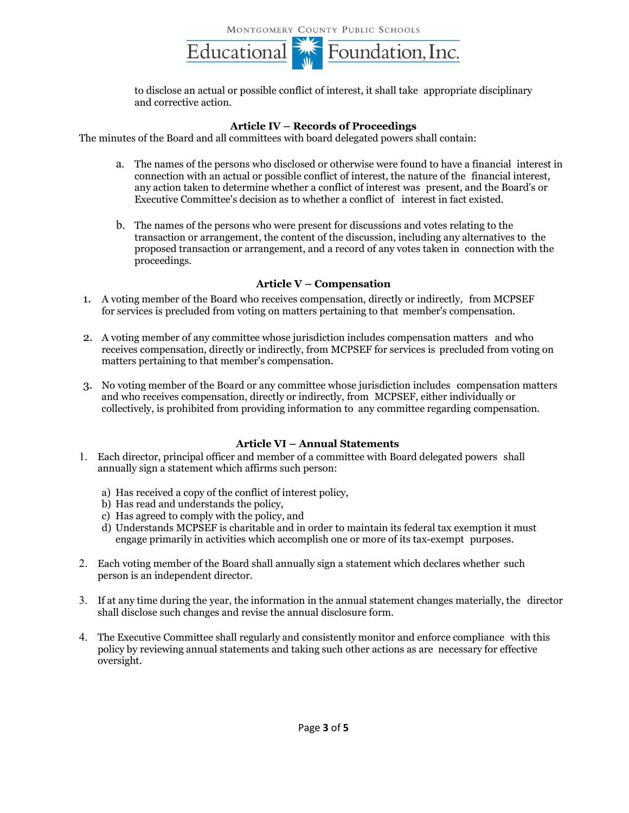

to disclose an actual or possible conflict of interest, it shall take appropriate disciplinary and corrective action.

#### **Article IV – Records of Proceedings**

The minutes of the Board and all committees with board delegated powers shall contain:

- a. The names of the persons who disclosed or otherwise were found to have a financial interest in connection with an actual or possible conflict of interest, the nature of the financial interest, any action taken to determine whether a conflict of interest was present, and the Board's or Executive Committee's decision as to whether a conflict of interest in fact existed.
- b. The names of the persons who were present for discussions and votes relating to the transaction or arrangement, the content of the discussion, including any alternatives to the proposed transaction or arrangement, and a record of any votes taken in connection with the proceedings.

#### **Article V – Compensation**

- 1. A voting member of the Board who receives compensation, directly or indirectly, from MCPSEF for services is precluded from voting on matters pertaining to that member's compensation.
- 2. A voting member of any committee whose jurisdiction includes compensation matters and who receives compensation, directly or indirectly, from MCPSEF for services is precluded from voting on matters pertaining to that member's compensation.
- 3. No voting member of the Board or any committee whose jurisdiction includes compensation matters and who receives compensation, directly or indirectly, from MCPSEF, either individually or collectively, is prohibited from providing information to any committee regarding compensation.

#### **Article VI – Annual Statements**

- 1. Each director, principal officer and member of a committee with Board delegated powers shall annually sign a statement which affirms such person:
	- a) Has received a copy of the conflict of interest policy,
	- b) Has read and understands the policy,
	- c) Has agreed to comply with the policy, and
	- d) Understands MCPSEF is charitable and in order to maintain its federal tax exemption it must engage primarily in activities which accomplish one or more of its tax-exempt purposes.
- 2. Each voting member of the Board shall annually sign a statement which declares whether such person is an independent director.
- 3. If at any time during the year, the information in the annual statement changes materially, the director shall disclose such changes and revise the annual disclosure form.
- 4. The Executive Committee shall regularly and consistently monitor and enforce compliance with this policy by reviewing annual statements and taking such other actions as are necessary for effective oversight.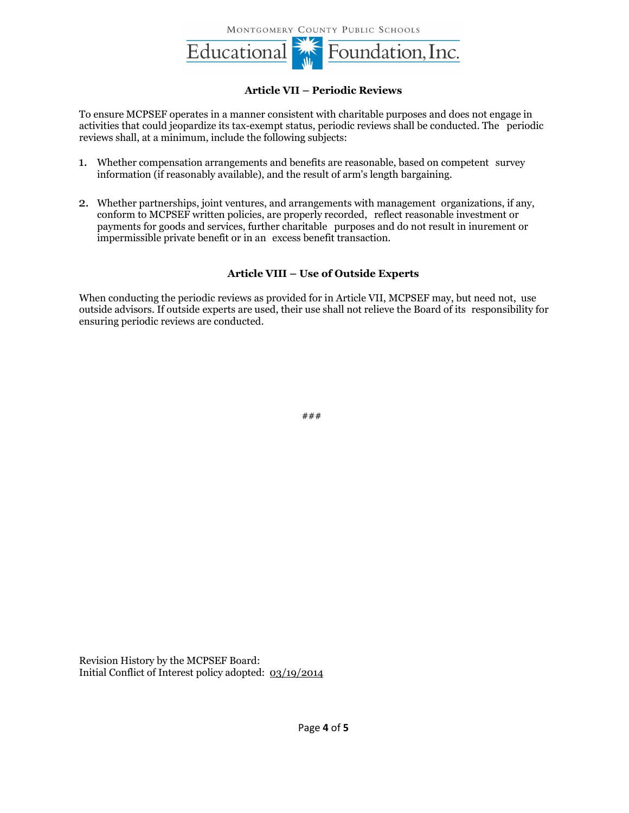MONTGOMERY COUNTY PUBLIC SCHOOLS



## **Article VII – Periodic Reviews**

To ensure MCPSEF operates in a manner consistent with charitable purposes and does not engage in activities that could jeopardize its tax-exempt status, periodic reviews shall be conducted. The periodic reviews shall, at a minimum, include the following subjects:

- 1. Whether compensation arrangements and benefits are reasonable, based on competent survey information (if reasonably available), and the result of arm's length bargaining.
- 2. Whether partnerships, joint ventures, and arrangements with management organizations, if any, conform to MCPSEF written policies, are properly recorded, reflect reasonable investment or payments for goods and services, further charitable purposes and do not result in inurement or impermissible private benefit or in an excess benefit transaction.

## **Article VIII – Use of Outside Experts**

When conducting the periodic reviews as provided for in Article VII, MCPSEF may, but need not, use outside advisors. If outside experts are used, their use shall not relieve the Board of its responsibility for ensuring periodic reviews are conducted.

###

Revision History by the MCPSEF Board: Initial Conflict of Interest policy adopted: 03/19/2014